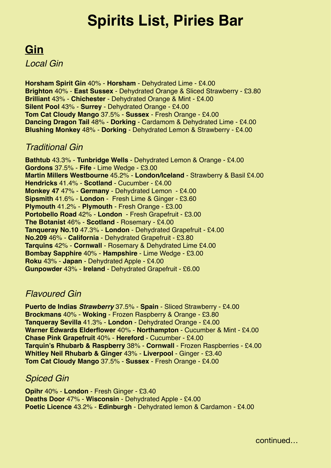# **Spirits List, Piries Bar**

### *Traditional Gin*  **Gin**  *Local Gin*

**Horsham Spirit Gin 40% - Horsham - Dehydrated Lime - £4.00** Brighton 40% - East Sussex - Dehydrated Orange & Sliced Strawberry - £3.80 **Brilliant** 43% - **Chichester** - Dehydrated Orange & Mint - £4.00 **Silent Pool 43% - Surrey - Dehydrated Orange - £4.00 Company of Company Company of Company Company Tom Cat Cloudy Mango** 37.5% - Sussex - Fresh Orange - £4.00 **Dancing Dragon Tail** 48% - Dorking - Cardamom & Dehydrated Lime - £4.00 Blushing Monkey 48% - Dorking - Dehydrated Lemon & Strawberry - £4.00

### **Martin Millers Westbourne** 45.2% - **London/Iceland** - Strawberry & Basil £4.00 *Traditional Gin*  **Hendricks** 41.4% - **Scotland** - Cucumber - £4.00

**Bathtub** 43.3% - **Tunbridge Wells** - Dehydrated Lemon & Orange - £4.00 **Sipsmith** 41.6% - **London** - Fresh Lime & Ginger - £3.00 **Gordons** 37.5% - **Fife** - Lime Wedge - £3.00 **Martin Millers Westbourne** 45.2% - London/Iceland - Strawberry & Basil £4.00 **Hendricks** 41.4% - **Scotland** - Cucumber - £4.00 **Monkey 47** 47% - Germany - Dehydrated Lemon - £4.00 **The Botanist** 46% - **Scotland** - Rosemary - £4.00 **Sipsmith** 41.6% - **London** - Fresh Lime & Ginger - £3.60 **Plymouth** 41.2% - **Plymouth** - Fresh Orange - £3.00 **Portobello Road** 42% - London - Fresh Grapefruit - £3.00 **The Botanist 46% - Scotland - Rosemary - £4.00 Tanqueray No.10** 47.3% - **London** - Dehydrated Grapefruit - £4.00 **Tanqueray No.10** 47.3% - **London** - Dehydrated Grapefruit - £4.00 **Tanqueray Rangpur** 41.3% - **London** - Dehydrated Lime - £4.00 **No.209** 46% - **California** - Dehydrated Grapefruit - £3.80 **Tarquins** 42% - Cornwall - Rosemary & Dehydrated Lime £4.00 **Bombay Sapphire** 40% - **Hampshire** - Lime Wedge - £3.00  $\blacksquare$ **Roku** 43% - **Japan** - Dehydrated Apple - £4.00 **Gunpowder** 43% - **Ireland** - Dehydrated Grapefruit - £6.00

### *Ravoured Gin* **23 Apple - 23.00 Apple - 23.00 Apple - 24.00 Apple - 24.00 Apple - 24.000 Apple - 24.00 Apple - 24.00 Apple - 24.00 Apple - 24.00 Apple - 24.00 Apple - 24.00 Apple - 24.00 Apple - 24.00 Apple - 24.00 Apple**

**Gunpowder** 43% - **Ireland** - Dehydrated Grapefruit - £6.00 **Puerto de Indias** *Strawberry* **37.5% - Spain - Sliced Strawberry - £4.00 Brockmans** 40% - **Woking** - Frozen Raspberry & Orange - £3.80 **Tanqueray Sevilla** 41.3% - **London** - Dehydrated Orange - £4.00 **Warner Edwards Elderflower** 40% - **Northampton** - Cucumber & Mint - £4.00 **Chase Pink Grapefruit** 40% - **Hereford** - Cucumber - £4.00 **Tarquin's Rhubarb & Raspberry** 38% - **Cornwall** - Frozen Raspberries - £4.00 **Whitley Neil Rhubarb & Ginger** 43% - **Liverpool** - Ginger - £3.40 **Tom Cat Cloudy Mango** 37.5% - **Sussex** - Fresh Orange - £4.00

### *Spiced Gin*

**Opihr** 40% - **London** - Fresh Ginger - £3.40 **Deaths Door** 47% - **Wisconsin** - Dehydrated Apple - £4.00 **Poetic Licence** 43.2% - **Edinburgh** - Dehydrated lemon & Cardamon - £4.00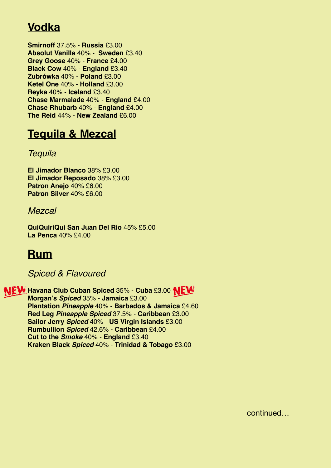## **Vodka**

**Puerto de Indias** *Strawberry* 37.5% - **Spain** - Sliced Strawberry - £4.00 **Absolut Vanilla** 40% - **Sweden** £3.40 **Brockmans** 40% - **Woking** - Frozen Raspberry & Orange - £3.80 **Grey Goose** 40% - **France** £4.00 **Black Cow** 40% - **England** £3.40 **England Extending the Cucumber of E**4.00 **Tanqueray Sevilla** 41.3% - **London** - Dehydrated Orange - £4.00 **Zubrówka** 40% - **Poland** £3.00 **Warner Edwards Rhubarb** 40% - **Northampton** - Fresh Orange - £4.00 **Ketel One** 40% - **Holland** £3.00 **Warner Edwards Elderflower** 40% - **Northampton** - Cucumber & Mint - £4.00 **Reyka** 40% - **Iceland** £3.40 **Chase Marmalade** 40% - **England** £4.00 **England Sipsmith Lemon Drizzle** 40.4% - **London** - Dehydrated Lemon - £4.00 **Chase Rhubarb** 40% - **England** £4.00 **Book School 44% - New Zealand** £6.00 **Consultant Smirnoff** 37.5% - **Russia** £3.00

### **Bathtub Sloe** 33.8% - **Tunbridge Wells** - Dehydrated Orange - £4.00 **Tequila & Mezcal - Frozen Blackberry 38% - 2002 - 2003 - 2004 - 2004 - 2004 - 2004 - 2004 - 2004 - 2004 - 2004**

### **Tarquin's Rhubarb & Raspberry** 38% - **Cornwall** - Frozen Raspberries - £4.00 **Whitley Neil Rhubarb & Ginger** 43% - **Liverpool** - Ginger - £3.40 *Tequila*

**Tom Cat Blueberry** 37.5% - **Sussex** - Sliced Strawberry £4.00 **El Jimador Blanco** 38% £3.00 *Spiced Gin*  **Patron Anejo** 40% £6.00 **El Jimador Reposado** 38% £3.00 **Patron Silver** 40% £6.00

#### **Opihr** 40% - **London** - Fresh Ginger - £3.40 **Deaths Door** 47% - **Wisconsin** - Dehydrated Apple - £4.00 *Mezcal*

**Cuckoo Spiced** 42% - **Lancashire** - Rosemary & Dehydrated Orange - £5.00 **QuiQuiriQui San Juan Del Rio** 45% £5.00 **La Penca** 40% £4.00

### **Brighton** 40% - **East Sussex** - Dehydrated Orange & Sliced Strawberry - £3.80 **Rum**

### **Brilliant** 43% - **Chichester** - Dehydrated Orange & Mint - £4.00 **Children 44 Spiced & Flavoured Australian Chichester - 2.40 Å Dehydrated Australian Chichester**

**Cabin Pressure** 40% - **Horsham** - Fresh Lemon & Basil - £4.00 **Havana Club Cuban Spiced 35% - Cuba £3.00 <b>NEW Mayfield Sussex Hop** 40% - **East Sussex** - Dehydrated Lemon - £3.40 **Morgan's** *Spiced* 35% - **Jamaica** £3.00 **Flantation** *Pineapple* **40% - Barbados & Jamaica £4.60 <b>Plantation** *Pineapple* 40% - **Exercise Tom Cat Cloudy Mango** 37.5% - **Sussex** - Fresh Orange - £4.00 **Red Leg** *Pineapple Spiced* 37.5% - **Caribbean** £3.00 **Tom Cat Blueberry** 37.5% - **Sussex** - Sliced Strawberry £4.00 **Sailor Jerry** *Spiced* 40% - **US Virgin Islands** £3.00 **Dancing Dragon Tail** 48% - **Dorking** - Cardamom & Dehydrated Lime - £4.00 **Rumbullion** *Spiced* 42.6% - **Caribbean** £4.00 **Cut to the** *Smoke* **40% - England £3.40<br>
<b>Cut to the** *Smoke* 40% - **England** £3.40 **Figure - 26.60** PM **Blushing Monkey** 48% - **Dorking** - Dehydrated Lemon & Strawberry - £4.00 **Kraken Black** *Spiced* 40% - **Trinidad & Tobago** £3.00

continued…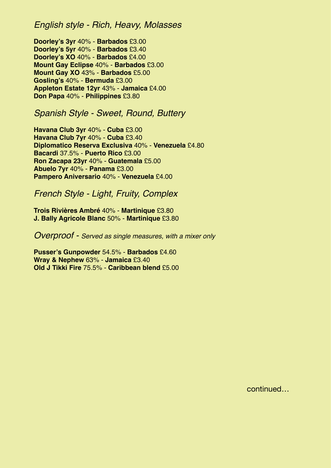### *English style - Rich, Heavy, Molasses*

**Vodka Doorley's 3yr** 40% - **Barbados** £3.00 **Smirnoff** 37.5% - **Russia** £3.00 **Doorley's XO** 40% - **Barbados** £4.00 **Absolut Vanilla** 40% - **Sweden** £3.40 **Mount Gay Eclipse** 40% - **Barbados** £3.00 **Grey Goose** 40% - **France** £4.00 **Mount Gay XO** 43% - **Barbados** £5.00 **Black Cow** 40% - **England** £3.40 **Gosling's** 40% - **Bermuda** £3.00 **Zubrówka** 40% - **Poland** £3.00 **Appleton Estate 12yr** 43% - **Jamaica** £4.00 **Ketel One** 40% - **Holland** £3.00 **Don Papa** 40% - **Philippines** £3.80 **Doorley's 5yr** 40% - **Barbados** £3.40

### **Spanish Style - Sweet, Round, Buttery Chase Rhubarb** 40% - **England** £4.00

**Havana Club 3yr 40% - Cuba £3.00 Diplomatico Reserva Exclusiva 40% - Venezuela** £4.80 *Tequila*  **Abuelo 7yr** 40% - **Panama** £3.00 **Olmeca Reposado** 38% £3.00 **Havana Club 7yr** 40% - **Cuba** £3.40 **Bacardi** 37.5% - **Puerto Rico** £3.00 **Ron Zacapa 23yr** 40% - **Guatemala** £5.00 **Pampero Aniversario** 40% - **Venezuela** £4.00

 $P_{\text{tanh}}$   $P_{\text{turb}}$   $I_{\text{in}}$ **French Style - Light, Fruity, Complex** 

*Mezcal* **J. Bally Agricole Blanc** 50% - **Martinique** £3.80 **Trois Rivières Ambré** 40% - **Martinique** £3.80

Queense of San Juan Del Rio 45.000 £5.000 £5.000 £5.000 £5.000 £5.000 £5.000 £5.000 £5.000 £5.000 £5.000 £5.000 £5.000 £5.000 £5.000 £5.000 £5.000 £5.000 £5.000 £5.000 £5.000 £5.000 £5.000 £5.000 £5.000 £5.000 £5.000 £5.00 *Overproof - Served as single measures, with a mixer only* 

**Rum Wray & Nephew** 63% - **Jamaica** £3.40 **Pusser's Gunpowder** 54.5% - **Barbados** £4.60 **Old J Tikki Fire** 75.5% - **Caribbean blend** £5.00

continued…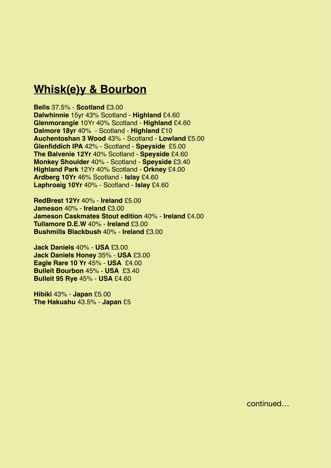### **Mbiok(a)** 8 Baurhan **Whisk(e)y & Bourbon**

### **Bells** 37.5% - **Scotland** £3.00

**Dalwhinnie** 15yr 43% Scotland - **Highland** £4.60 **Glenmorangie** 10Yr 40% Scotland - **Highland** £4.60 **Dalmore 18yr** 40% - Scotland - **Highland** £10 **Auchentoshan 3 Wood 43% - Scotland - Lowland £5.00 The Balvenie 12Yr 40% Scotland - Speyside £4.60<br>
<b>Mankey Shoulder** 40% Sectland - **Speyside** 63.40 **Havana Fark 12 H 40% Scotland - Starting Ardberg 10Yr** 46% Scotland - **Islay** £4.60 **Havena 1011 40% Scotland 1914 Diplomatico Planas** 47% - **Venezuela** £4.60 **Laphroaig 10Yr** 40% - Scotland - **Islay** £4.60 **Glenfiddich IPA** 42% - Scotland - **Speyside** £5.00 **Monkey Shoulder** 40% - Scotland - **Speyside** £3.40 **Highland Park** 12Yr 40% Scotland - **Orkney** £4.00

**Diplomatico Reserva Exclusiva** 40% - **Venezuela** £4.80 **RedBrest 12Yr** 40% - **Ireland** £5.00 **Bacardi** 37.5% - **Puerto Rico** £3.00 **Jameson** 40% - **Ireland** £3.00 **Angostura 1919** 40% - **Trinidad** £4.60 **Jameson Caskmates Stout edition** 40% - **Ireland** £4.00 **Ron Zacapa 23yr** 40% - **Guatemala** £5.00 **Tullamore D.E.W** 40% - **Ireland** £3.00 **Abushmille Plackbuch** 40% - **Ivalia Bushmills Blackbush 40% - Ireland £3.00** 

*French Style - Light, Fruity, Complex*  **Jack Daniels Honey** 35% - **USA** £3.00 **Trois Rivières Ambré** 40% - **Martinique** £3.80 **Bulleit Bourbon** 45% - **USA** £3.40 **Bulleit 95 Rye** 45% - USA £4.60 **Jack Daniels** 40% - **USA** £3.00 **Eagle Rare 10 Yr** 45% - **USA** £4.00

**J. Bally Agricole Blanc** 50% - **Martinique** £3.80

**St Lucia "1931"** 43% - **St Lucia** £6.00 **Hibiki** 43% - **Japan** £5.00 **The Hakushu** 43.5% - **Japan** £5

continued…